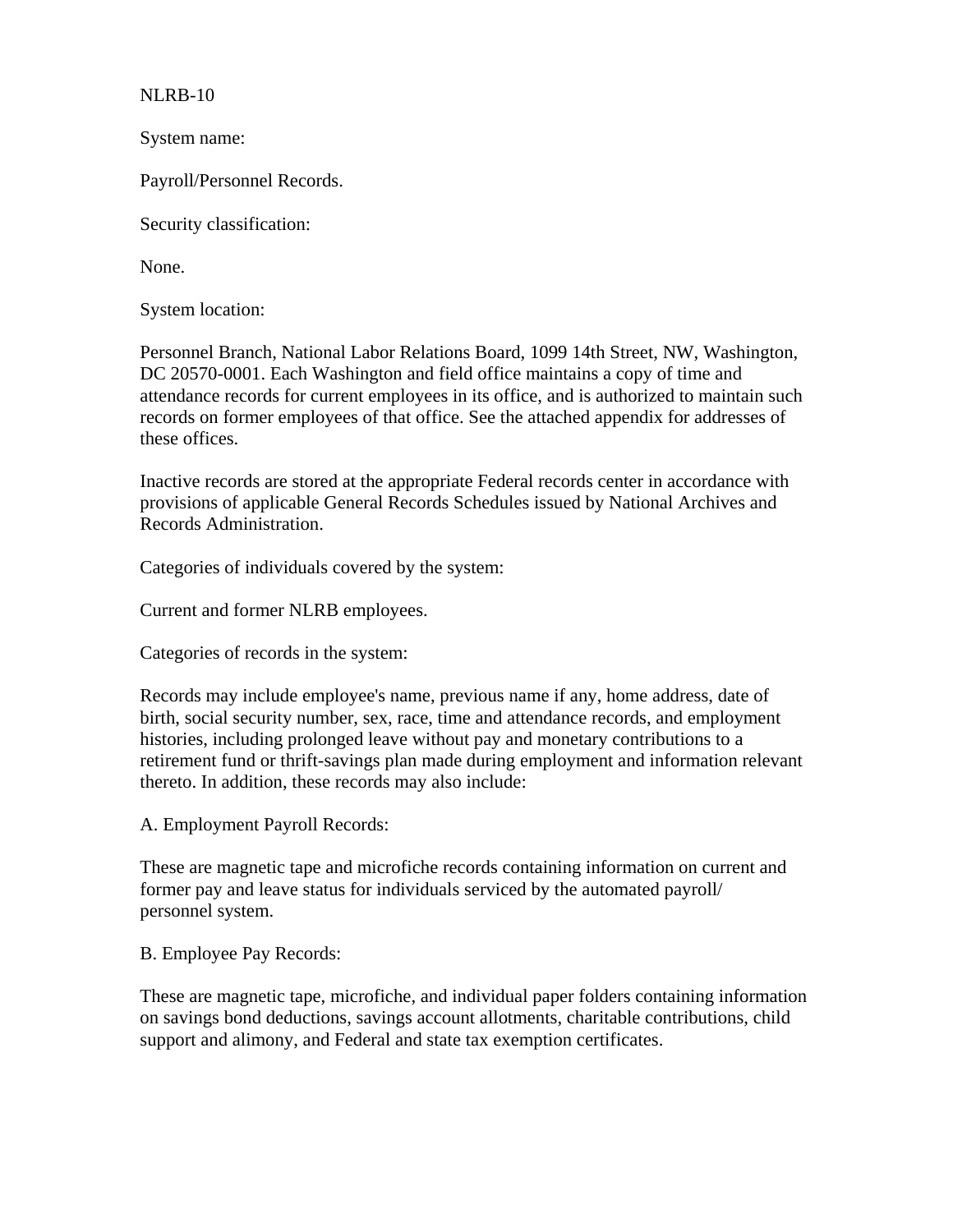NLRB-10

System name:

Payroll/Personnel Records.

Security classification:

None.

System location:

Personnel Branch, National Labor Relations Board, 1099 14th Street, NW, Washington, DC 20570-0001. Each Washington and field office maintains a copy of time and attendance records for current employees in its office, and is authorized to maintain such records on former employees of that office. See the attached appendix for addresses of these offices.

Inactive records are stored at the appropriate Federal records center in accordance with provisions of applicable General Records Schedules issued by National Archives and Records Administration.

Categories of individuals covered by the system:

Current and former NLRB employees.

Categories of records in the system:

Records may include employee's name, previous name if any, home address, date of birth, social security number, sex, race, time and attendance records, and employment histories, including prolonged leave without pay and monetary contributions to a retirement fund or thrift-savings plan made during employment and information relevant thereto. In addition, these records may also include:

A. Employment Payroll Records:

These are magnetic tape and microfiche records containing information on current and former pay and leave status for individuals serviced by the automated payroll/ personnel system.

B. Employee Pay Records:

These are magnetic tape, microfiche, and individual paper folders containing information on savings bond deductions, savings account allotments, charitable contributions, child support and alimony, and Federal and state tax exemption certificates.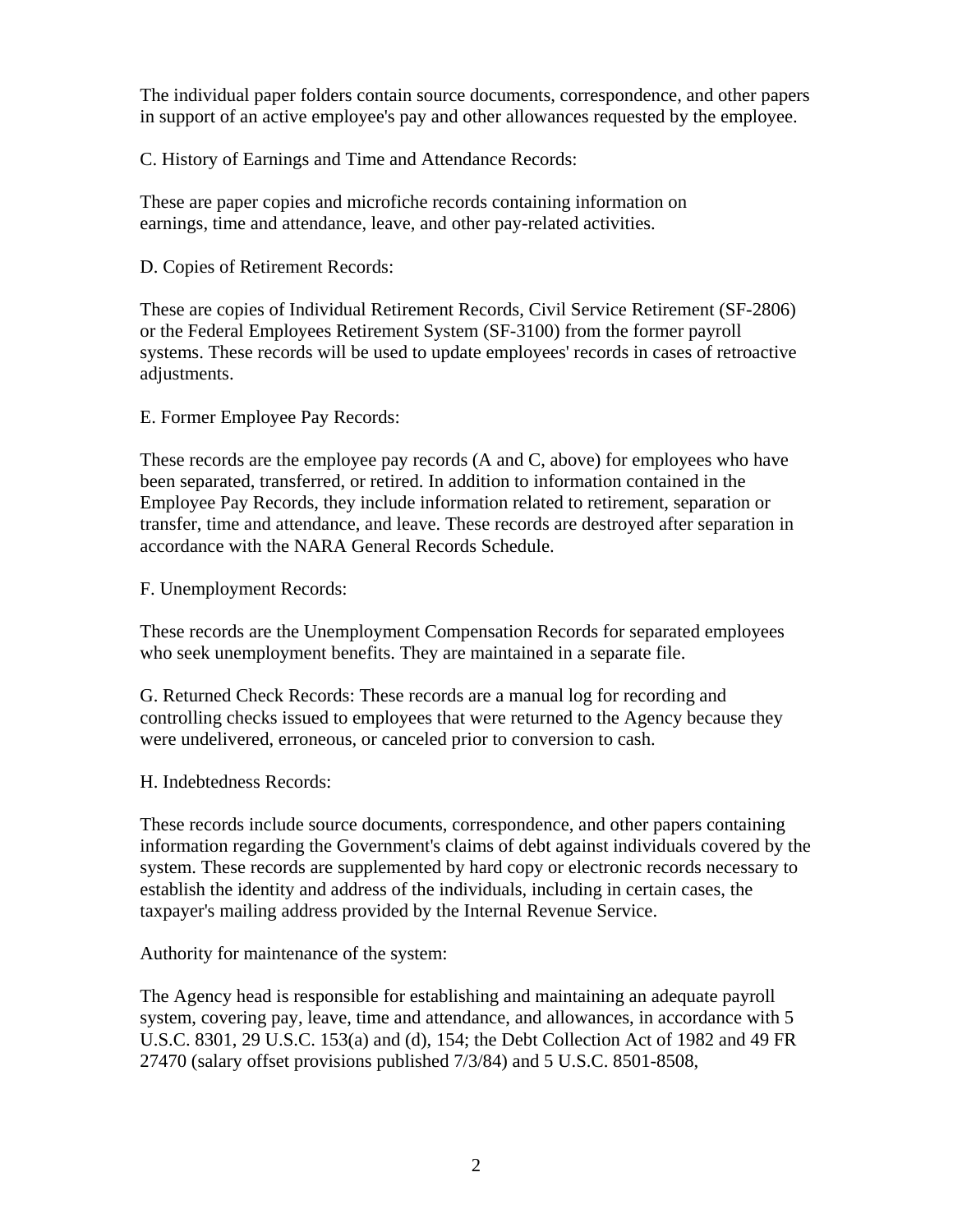The individual paper folders contain source documents, correspondence, and other papers in support of an active employee's pay and other allowances requested by the employee.

C. History of Earnings and Time and Attendance Records:

These are paper copies and microfiche records containing information on earnings, time and attendance, leave, and other pay-related activities.

D. Copies of Retirement Records:

These are copies of Individual Retirement Records, Civil Service Retirement (SF-2806) or the Federal Employees Retirement System (SF-3100) from the former payroll systems. These records will be used to update employees' records in cases of retroactive adjustments.

E. Former Employee Pay Records:

These records are the employee pay records (A and C, above) for employees who have been separated, transferred, or retired. In addition to information contained in the Employee Pay Records, they include information related to retirement, separation or transfer, time and attendance, and leave. These records are destroyed after separation in accordance with the NARA General Records Schedule.

F. Unemployment Records:

These records are the Unemployment Compensation Records for separated employees who seek unemployment benefits. They are maintained in a separate file.

G. Returned Check Records: These records are a manual log for recording and controlling checks issued to employees that were returned to the Agency because they were undelivered, erroneous, or canceled prior to conversion to cash.

H. Indebtedness Records:

These records include source documents, correspondence, and other papers containing information regarding the Government's claims of debt against individuals covered by the system. These records are supplemented by hard copy or electronic records necessary to establish the identity and address of the individuals, including in certain cases, the taxpayer's mailing address provided by the Internal Revenue Service.

Authority for maintenance of the system:

The Agency head is responsible for establishing and maintaining an adequate payroll system, covering pay, leave, time and attendance, and allowances, in accordance with 5 U.S.C. 8301, 29 U.S.C. 153(a) and (d), 154; the Debt Collection Act of 1982 and 49 FR 27470 (salary offset provisions published 7/3/84) and 5 U.S.C. 8501-8508,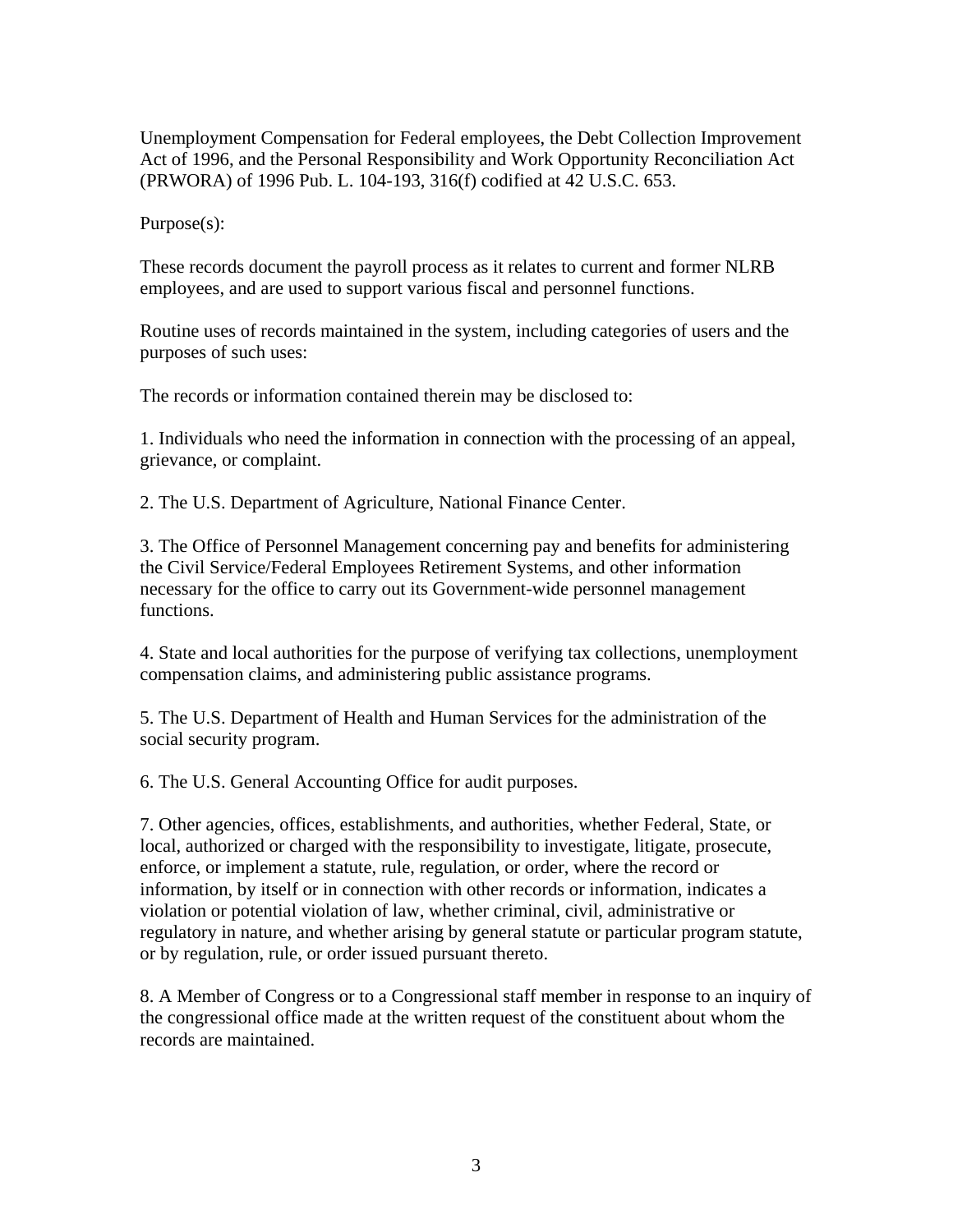Unemployment Compensation for Federal employees, the Debt Collection Improvement Act of 1996, and the Personal Responsibility and Work Opportunity Reconciliation Act (PRWORA) of 1996 Pub. L. 104-193, 316(f) codified at 42 U.S.C. 653.

Purpose(s):

These records document the payroll process as it relates to current and former NLRB employees, and are used to support various fiscal and personnel functions.

Routine uses of records maintained in the system, including categories of users and the purposes of such uses:

The records or information contained therein may be disclosed to:

1. Individuals who need the information in connection with the processing of an appeal, grievance, or complaint.

2. The U.S. Department of Agriculture, National Finance Center.

3. The Office of Personnel Management concerning pay and benefits for administering the Civil Service/Federal Employees Retirement Systems, and other information necessary for the office to carry out its Government-wide personnel management functions.

4. State and local authorities for the purpose of verifying tax collections, unemployment compensation claims, and administering public assistance programs.

5. The U.S. Department of Health and Human Services for the administration of the social security program.

6. The U.S. General Accounting Office for audit purposes.

7. Other agencies, offices, establishments, and authorities, whether Federal, State, or local, authorized or charged with the responsibility to investigate, litigate, prosecute, enforce, or implement a statute, rule, regulation, or order, where the record or information, by itself or in connection with other records or information, indicates a violation or potential violation of law, whether criminal, civil, administrative or regulatory in nature, and whether arising by general statute or particular program statute, or by regulation, rule, or order issued pursuant thereto.

8. A Member of Congress or to a Congressional staff member in response to an inquiry of the congressional office made at the written request of the constituent about whom the records are maintained.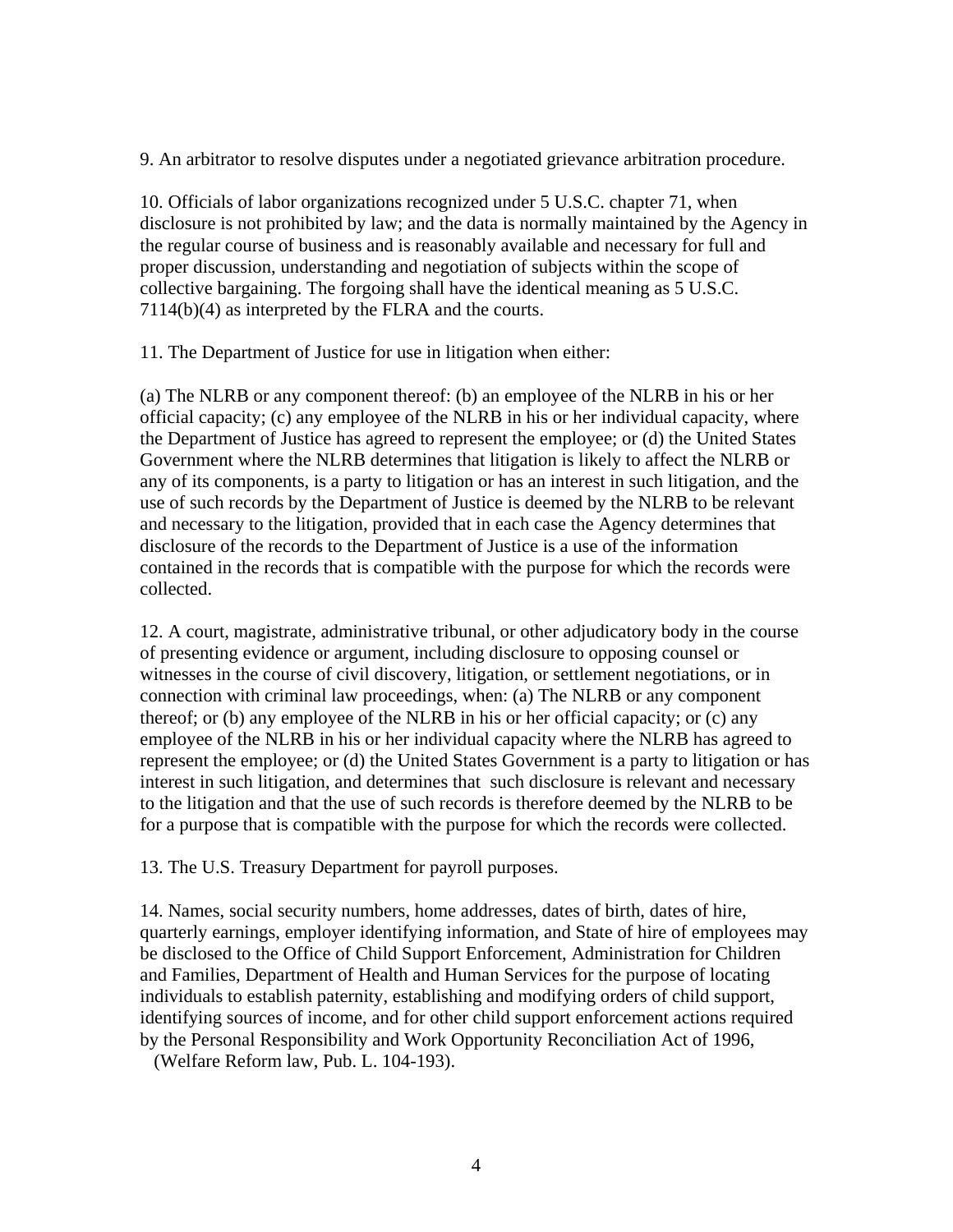9. An arbitrator to resolve disputes under a negotiated grievance arbitration procedure.

10. Officials of labor organizations recognized under 5 U.S.C. chapter 71, when disclosure is not prohibited by law; and the data is normally maintained by the Agency in the regular course of business and is reasonably available and necessary for full and proper discussion, understanding and negotiation of subjects within the scope of collective bargaining. The forgoing shall have the identical meaning as 5 U.S.C. 7114(b)(4) as interpreted by the FLRA and the courts.

11. The Department of Justice for use in litigation when either:

(a) The NLRB or any component thereof: (b) an employee of the NLRB in his or her official capacity; (c) any employee of the NLRB in his or her individual capacity, where the Department of Justice has agreed to represent the employee; or (d) the United States Government where the NLRB determines that litigation is likely to affect the NLRB or any of its components, is a party to litigation or has an interest in such litigation, and the use of such records by the Department of Justice is deemed by the NLRB to be relevant and necessary to the litigation, provided that in each case the Agency determines that disclosure of the records to the Department of Justice is a use of the information contained in the records that is compatible with the purpose for which the records were collected.

12. A court, magistrate, administrative tribunal, or other adjudicatory body in the course of presenting evidence or argument, including disclosure to opposing counsel or witnesses in the course of civil discovery, litigation, or settlement negotiations, or in connection with criminal law proceedings, when: (a) The NLRB or any component thereof; or (b) any employee of the NLRB in his or her official capacity; or (c) any employee of the NLRB in his or her individual capacity where the NLRB has agreed to represent the employee; or (d) the United States Government is a party to litigation or has interest in such litigation, and determines that such disclosure is relevant and necessary to the litigation and that the use of such records is therefore deemed by the NLRB to be for a purpose that is compatible with the purpose for which the records were collected.

13. The U.S. Treasury Department for payroll purposes.

14. Names, social security numbers, home addresses, dates of birth, dates of hire, quarterly earnings, employer identifying information, and State of hire of employees may be disclosed to the Office of Child Support Enforcement, Administration for Children and Families, Department of Health and Human Services for the purpose of locating individuals to establish paternity, establishing and modifying orders of child support, identifying sources of income, and for other child support enforcement actions required by the Personal Responsibility and Work Opportunity Reconciliation Act of 1996,

(Welfare Reform law, Pub. L. 104-193).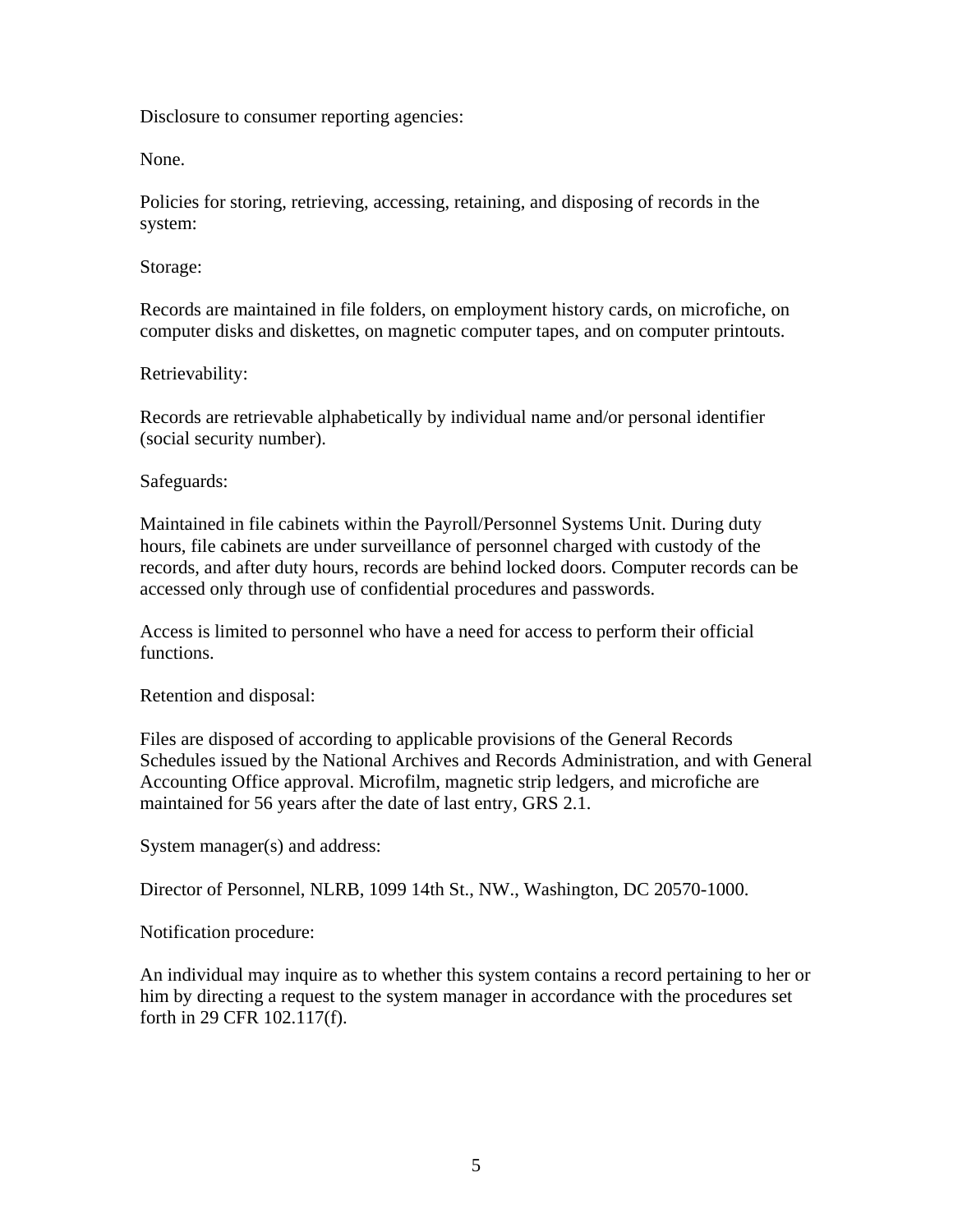Disclosure to consumer reporting agencies:

None.

Policies for storing, retrieving, accessing, retaining, and disposing of records in the system:

Storage:

Records are maintained in file folders, on employment history cards, on microfiche, on computer disks and diskettes, on magnetic computer tapes, and on computer printouts.

## Retrievability:

Records are retrievable alphabetically by individual name and/or personal identifier (social security number).

## Safeguards:

Maintained in file cabinets within the Payroll/Personnel Systems Unit. During duty hours, file cabinets are under surveillance of personnel charged with custody of the records, and after duty hours, records are behind locked doors. Computer records can be accessed only through use of confidential procedures and passwords.

Access is limited to personnel who have a need for access to perform their official functions.

Retention and disposal:

Files are disposed of according to applicable provisions of the General Records Schedules issued by the National Archives and Records Administration, and with General Accounting Office approval. Microfilm, magnetic strip ledgers, and microfiche are maintained for 56 years after the date of last entry, GRS 2.1.

System manager(s) and address:

Director of Personnel, NLRB, 1099 14th St., NW., Washington, DC 20570-1000.

Notification procedure:

An individual may inquire as to whether this system contains a record pertaining to her or him by directing a request to the system manager in accordance with the procedures set forth in 29 CFR 102.117(f).